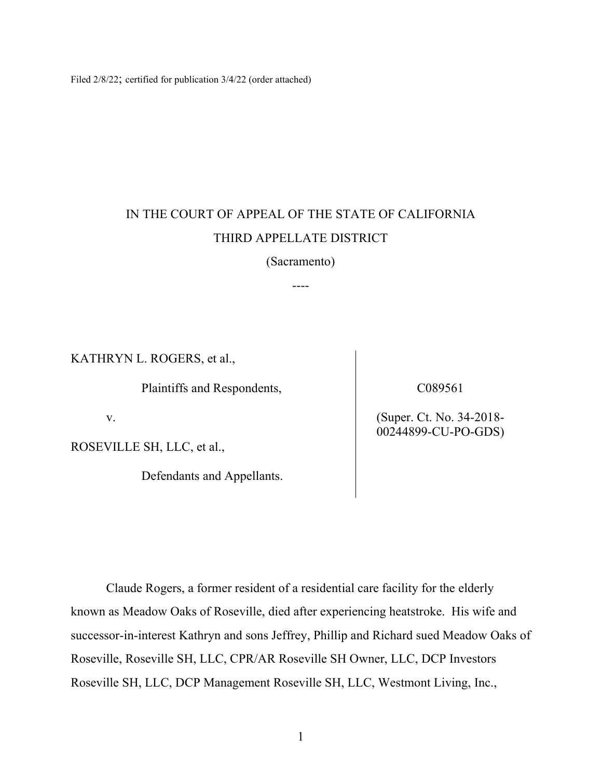Filed 2/8/22; certified for publication 3/4/22 (order attached)

# IN THE COURT OF APPEAL OF THE STATE OF CALIFORNIA THIRD APPELLATE DISTRICT

(Sacramento)

----

KATHRYN L. ROGERS, et al.,

Plaintiffs and Respondents,

v.

ROSEVILLE SH, LLC, et al.,

Defendants and Appellants.

C089561

(Super. Ct. No. 34-2018- 00244899-CU-PO-GDS)

Claude Rogers, a former resident of a residential care facility for the elderly known as Meadow Oaks of Roseville, died after experiencing heatstroke. His wife and successor-in-interest Kathryn and sons Jeffrey, Phillip and Richard sued Meadow Oaks of Roseville, Roseville SH, LLC, CPR/AR Roseville SH Owner, LLC, DCP Investors Roseville SH, LLC, DCP Management Roseville SH, LLC, Westmont Living, Inc.,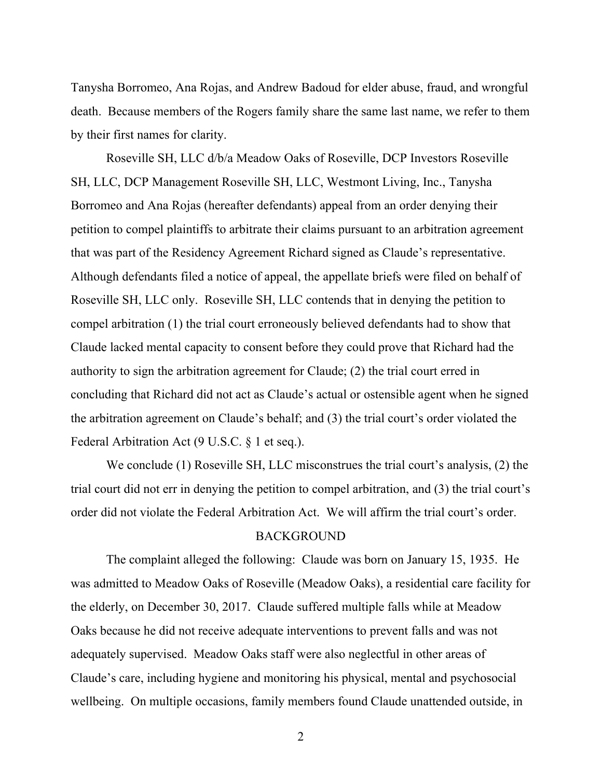Tanysha Borromeo, Ana Rojas, and Andrew Badoud for elder abuse, fraud, and wrongful death. Because members of the Rogers family share the same last name, we refer to them by their first names for clarity.

Roseville SH, LLC d/b/a Meadow Oaks of Roseville, DCP Investors Roseville SH, LLC, DCP Management Roseville SH, LLC, Westmont Living, Inc., Tanysha Borromeo and Ana Rojas (hereafter defendants) appeal from an order denying their petition to compel plaintiffs to arbitrate their claims pursuant to an arbitration agreement that was part of the Residency Agreement Richard signed as Claude's representative. Although defendants filed a notice of appeal, the appellate briefs were filed on behalf of Roseville SH, LLC only. Roseville SH, LLC contends that in denying the petition to compel arbitration (1) the trial court erroneously believed defendants had to show that Claude lacked mental capacity to consent before they could prove that Richard had the authority to sign the arbitration agreement for Claude; (2) the trial court erred in concluding that Richard did not act as Claude's actual or ostensible agent when he signed the arbitration agreement on Claude's behalf; and (3) the trial court's order violated the Federal Arbitration Act (9 U.S.C. § 1 et seq.).

We conclude (1) Roseville SH, LLC misconstrues the trial court's analysis, (2) the trial court did not err in denying the petition to compel arbitration, and (3) the trial court's order did not violate the Federal Arbitration Act. We will affirm the trial court's order.

### **BACKGROUND**

The complaint alleged the following: Claude was born on January 15, 1935. He was admitted to Meadow Oaks of Roseville (Meadow Oaks), a residential care facility for the elderly, on December 30, 2017. Claude suffered multiple falls while at Meadow Oaks because he did not receive adequate interventions to prevent falls and was not adequately supervised. Meadow Oaks staff were also neglectful in other areas of Claude's care, including hygiene and monitoring his physical, mental and psychosocial wellbeing. On multiple occasions, family members found Claude unattended outside, in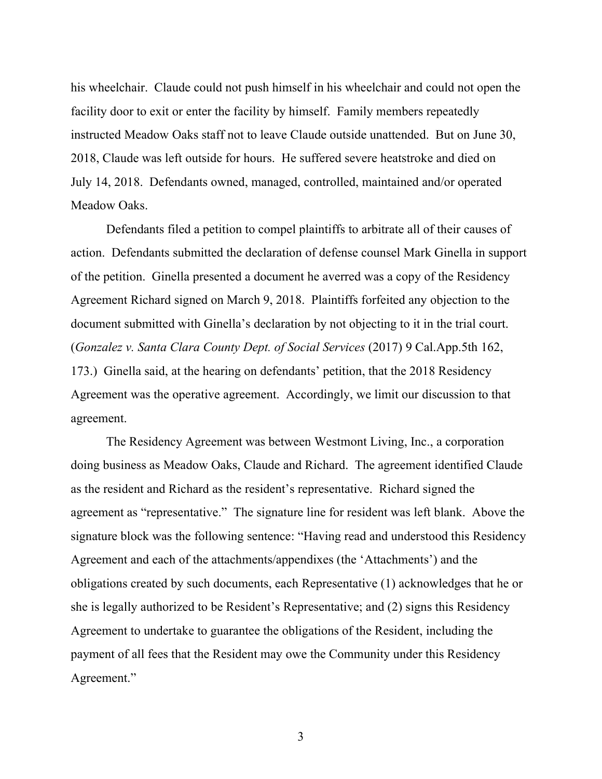his wheelchair. Claude could not push himself in his wheelchair and could not open the facility door to exit or enter the facility by himself. Family members repeatedly instructed Meadow Oaks staff not to leave Claude outside unattended. But on June 30, 2018, Claude was left outside for hours. He suffered severe heatstroke and died on July 14, 2018. Defendants owned, managed, controlled, maintained and/or operated Meadow Oaks.

Defendants filed a petition to compel plaintiffs to arbitrate all of their causes of action. Defendants submitted the declaration of defense counsel Mark Ginella in support of the petition. Ginella presented a document he averred was a copy of the Residency Agreement Richard signed on March 9, 2018. Plaintiffs forfeited any objection to the document submitted with Ginella's declaration by not objecting to it in the trial court. (*Gonzalez v. Santa Clara County Dept. of Social Services* (2017) 9 Cal.App.5th 162, 173.) Ginella said, at the hearing on defendants' petition, that the 2018 Residency Agreement was the operative agreement. Accordingly, we limit our discussion to that agreement.

The Residency Agreement was between Westmont Living, Inc., a corporation doing business as Meadow Oaks, Claude and Richard. The agreement identified Claude as the resident and Richard as the resident's representative. Richard signed the agreement as "representative." The signature line for resident was left blank. Above the signature block was the following sentence: "Having read and understood this Residency Agreement and each of the attachments/appendixes (the 'Attachments') and the obligations created by such documents, each Representative (1) acknowledges that he or she is legally authorized to be Resident's Representative; and (2) signs this Residency Agreement to undertake to guarantee the obligations of the Resident, including the payment of all fees that the Resident may owe the Community under this Residency Agreement."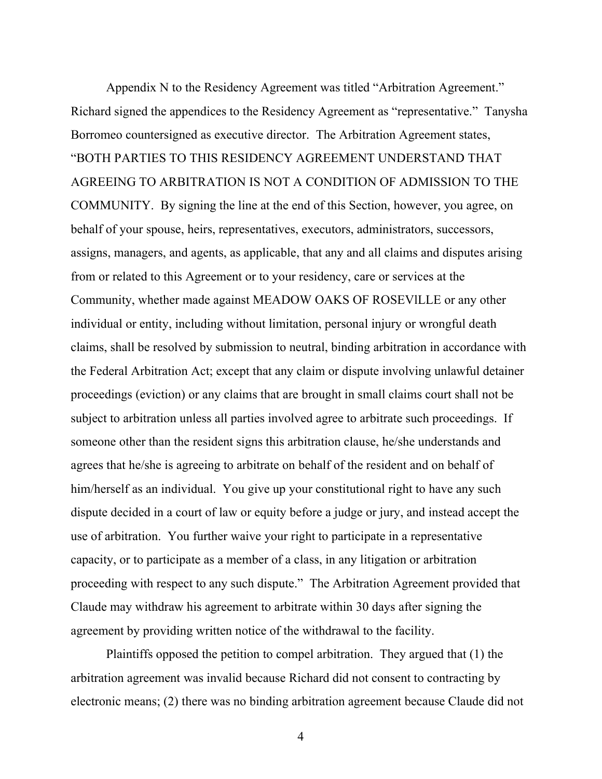Appendix N to the Residency Agreement was titled "Arbitration Agreement." Richard signed the appendices to the Residency Agreement as "representative." Tanysha Borromeo countersigned as executive director. The Arbitration Agreement states, "BOTH PARTIES TO THIS RESIDENCY AGREEMENT UNDERSTAND THAT AGREEING TO ARBITRATION IS NOT A CONDITION OF ADMISSION TO THE COMMUNITY. By signing the line at the end of this Section, however, you agree, on behalf of your spouse, heirs, representatives, executors, administrators, successors, assigns, managers, and agents, as applicable, that any and all claims and disputes arising from or related to this Agreement or to your residency, care or services at the Community, whether made against MEADOW OAKS OF ROSEVlLLE or any other individual or entity, including without limitation, personal injury or wrongful death claims, shall be resolved by submission to neutral, binding arbitration in accordance with the Federal Arbitration Act; except that any claim or dispute involving unlawful detainer proceedings (eviction) or any claims that are brought in small claims court shall not be subject to arbitration unless all parties involved agree to arbitrate such proceedings. If someone other than the resident signs this arbitration clause, he/she understands and agrees that he/she is agreeing to arbitrate on behalf of the resident and on behalf of him/herself as an individual. You give up your constitutional right to have any such dispute decided in a court of law or equity before a judge or jury, and instead accept the use of arbitration. You further waive your right to participate in a representative capacity, or to participate as a member of a class, in any litigation or arbitration proceeding with respect to any such dispute." The Arbitration Agreement provided that Claude may withdraw his agreement to arbitrate within 30 days after signing the agreement by providing written notice of the withdrawal to the facility.

Plaintiffs opposed the petition to compel arbitration. They argued that (1) the arbitration agreement was invalid because Richard did not consent to contracting by electronic means; (2) there was no binding arbitration agreement because Claude did not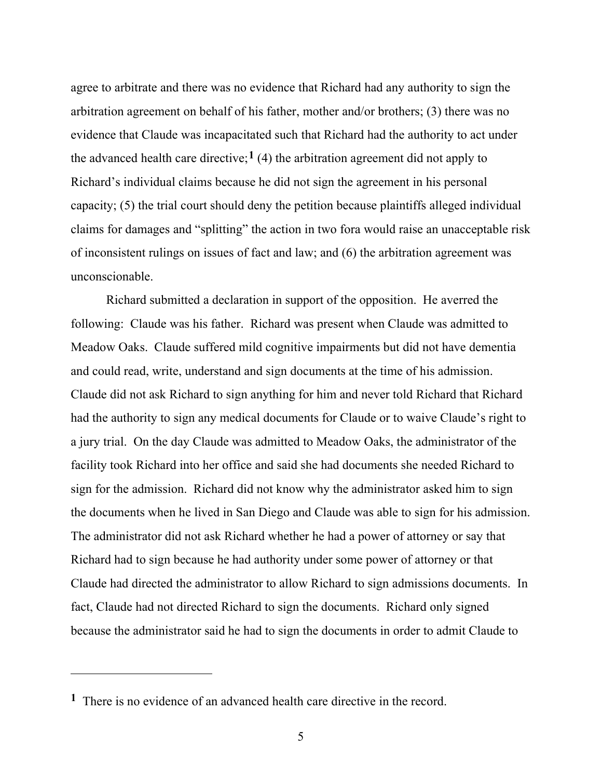agree to arbitrate and there was no evidence that Richard had any authority to sign the arbitration agreement on behalf of his father, mother and/or brothers; (3) there was no evidence that Claude was incapacitated such that Richard had the authority to act under the advanced health care directive;<sup>[1](#page-4-0)</sup> (4) the arbitration agreement did not apply to Richard's individual claims because he did not sign the agreement in his personal capacity; (5) the trial court should deny the petition because plaintiffs alleged individual claims for damages and "splitting" the action in two fora would raise an unacceptable risk of inconsistent rulings on issues of fact and law; and (6) the arbitration agreement was unconscionable.

Richard submitted a declaration in support of the opposition. He averred the following: Claude was his father. Richard was present when Claude was admitted to Meadow Oaks. Claude suffered mild cognitive impairments but did not have dementia and could read, write, understand and sign documents at the time of his admission. Claude did not ask Richard to sign anything for him and never told Richard that Richard had the authority to sign any medical documents for Claude or to waive Claude's right to a jury trial. On the day Claude was admitted to Meadow Oaks, the administrator of the facility took Richard into her office and said she had documents she needed Richard to sign for the admission. Richard did not know why the administrator asked him to sign the documents when he lived in San Diego and Claude was able to sign for his admission. The administrator did not ask Richard whether he had a power of attorney or say that Richard had to sign because he had authority under some power of attorney or that Claude had directed the administrator to allow Richard to sign admissions documents. In fact, Claude had not directed Richard to sign the documents. Richard only signed because the administrator said he had to sign the documents in order to admit Claude to

<span id="page-4-0"></span>**<sup>1</sup>** There is no evidence of an advanced health care directive in the record.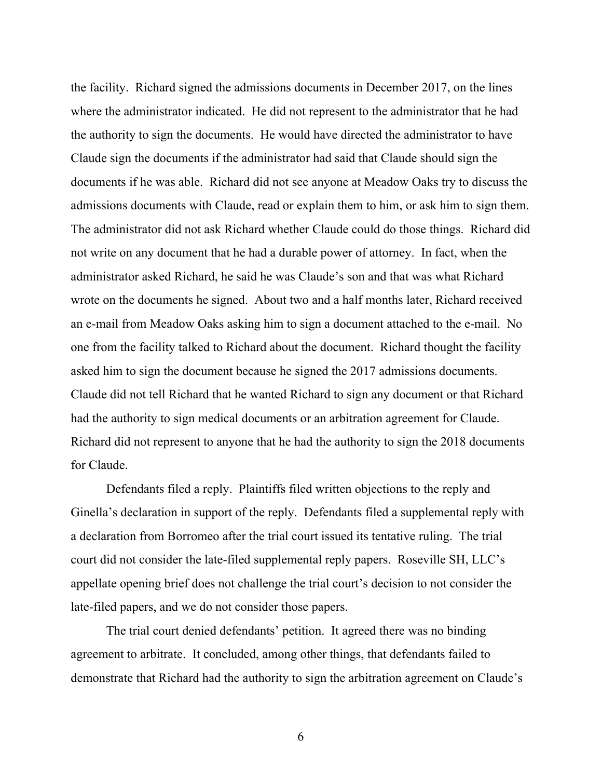the facility. Richard signed the admissions documents in December 2017, on the lines where the administrator indicated. He did not represent to the administrator that he had the authority to sign the documents. He would have directed the administrator to have Claude sign the documents if the administrator had said that Claude should sign the documents if he was able. Richard did not see anyone at Meadow Oaks try to discuss the admissions documents with Claude, read or explain them to him, or ask him to sign them. The administrator did not ask Richard whether Claude could do those things. Richard did not write on any document that he had a durable power of attorney. In fact, when the administrator asked Richard, he said he was Claude's son and that was what Richard wrote on the documents he signed. About two and a half months later, Richard received an e-mail from Meadow Oaks asking him to sign a document attached to the e-mail. No one from the facility talked to Richard about the document. Richard thought the facility asked him to sign the document because he signed the 2017 admissions documents. Claude did not tell Richard that he wanted Richard to sign any document or that Richard had the authority to sign medical documents or an arbitration agreement for Claude. Richard did not represent to anyone that he had the authority to sign the 2018 documents for Claude.

Defendants filed a reply. Plaintiffs filed written objections to the reply and Ginella's declaration in support of the reply. Defendants filed a supplemental reply with a declaration from Borromeo after the trial court issued its tentative ruling. The trial court did not consider the late-filed supplemental reply papers. Roseville SH, LLC's appellate opening brief does not challenge the trial court's decision to not consider the late-filed papers, and we do not consider those papers.

The trial court denied defendants' petition. It agreed there was no binding agreement to arbitrate. It concluded, among other things, that defendants failed to demonstrate that Richard had the authority to sign the arbitration agreement on Claude's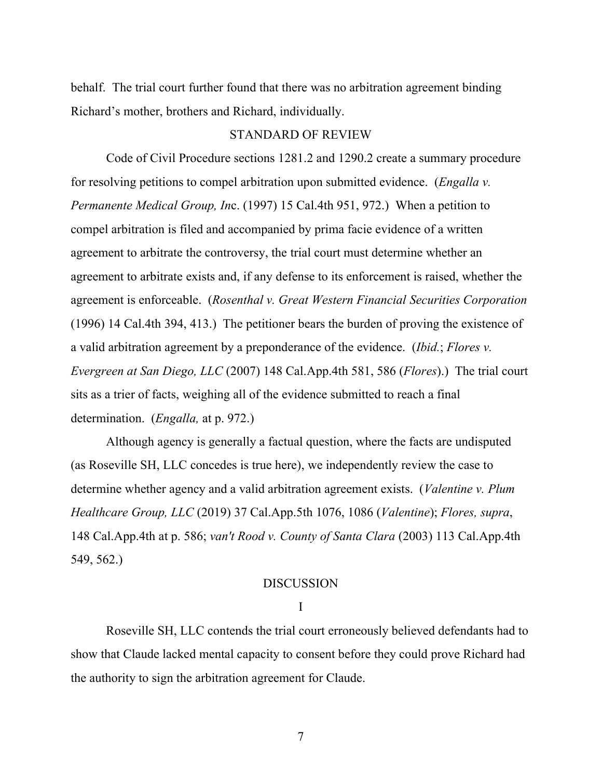behalf. The trial court further found that there was no arbitration agreement binding Richard's mother, brothers and Richard, individually.

#### STANDARD OF REVIEW

Code of Civil Procedure sections 1281.2 and 1290.2 create a summary procedure for resolving petitions to compel arbitration upon submitted evidence. (*Engalla v. Permanente Medical Group, In*c. (1997) 15 Cal.4th 951, 972.) When a petition to compel arbitration is filed and accompanied by prima facie evidence of a written agreement to arbitrate the controversy, the trial court must determine whether an agreement to arbitrate exists and, if any defense to its enforcement is raised, whether the agreement is enforceable. (*Rosenthal v. Great Western Financial Securities Corporation* (1996) 14 Cal.4th 394, 413.) The petitioner bears the burden of proving the existence of a valid arbitration agreement by a preponderance of the evidence. (*Ibid.*; *Flores v. Evergreen at San Diego, LLC* (2007) 148 Cal.App.4th 581, 586 (*Flores*).) The trial court sits as a trier of facts, weighing all of the evidence submitted to reach a final determination. (*Engalla,* at p. 972.)

Although agency is generally a factual question, where the facts are undisputed (as Roseville SH, LLC concedes is true here), we independently review the case to determine whether agency and a valid arbitration agreement exists. (*Valentine v. Plum Healthcare Group, LLC* (2019) 37 Cal.App.5th 1076, 1086 (*Valentine*); *Flores, supra*, 148 Cal.App.4th at p. 586; *van't Rood v. County of Santa Clara* (2003) 113 Cal.App.4th 549, 562.)

### DISCUSSION

### I

Roseville SH, LLC contends the trial court erroneously believed defendants had to show that Claude lacked mental capacity to consent before they could prove Richard had the authority to sign the arbitration agreement for Claude.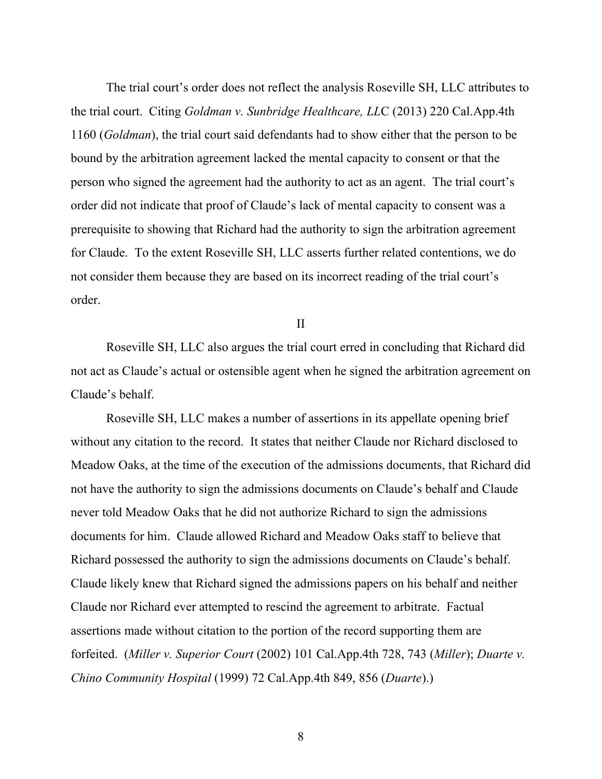The trial court's order does not reflect the analysis Roseville SH, LLC attributes to the trial court. Citing *Goldman v. Sunbridge Healthcare, LL*C (2013) 220 Cal.App.4th 1160 (*Goldman*), the trial court said defendants had to show either that the person to be bound by the arbitration agreement lacked the mental capacity to consent or that the person who signed the agreement had the authority to act as an agent. The trial court's order did not indicate that proof of Claude's lack of mental capacity to consent was a prerequisite to showing that Richard had the authority to sign the arbitration agreement for Claude. To the extent Roseville SH, LLC asserts further related contentions, we do not consider them because they are based on its incorrect reading of the trial court's order.

II

Roseville SH, LLC also argues the trial court erred in concluding that Richard did not act as Claude's actual or ostensible agent when he signed the arbitration agreement on Claude's behalf.

Roseville SH, LLC makes a number of assertions in its appellate opening brief without any citation to the record. It states that neither Claude nor Richard disclosed to Meadow Oaks, at the time of the execution of the admissions documents, that Richard did not have the authority to sign the admissions documents on Claude's behalf and Claude never told Meadow Oaks that he did not authorize Richard to sign the admissions documents for him. Claude allowed Richard and Meadow Oaks staff to believe that Richard possessed the authority to sign the admissions documents on Claude's behalf. Claude likely knew that Richard signed the admissions papers on his behalf and neither Claude nor Richard ever attempted to rescind the agreement to arbitrate. Factual assertions made without citation to the portion of the record supporting them are forfeited. (*Miller v. Superior Court* (2002) 101 Cal.App.4th 728, 743 (*Miller*); *Duarte v. Chino Community Hospital* (1999) 72 Cal.App.4th 849, 856 (*Duarte*).)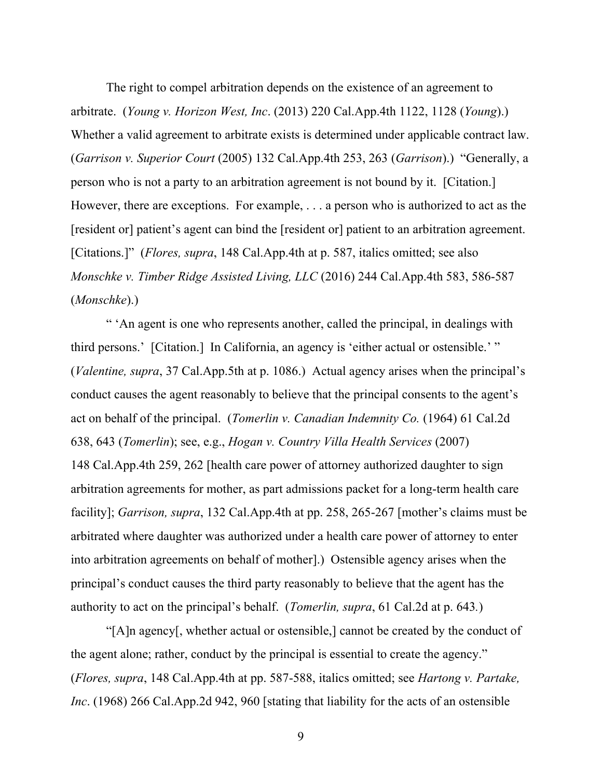The right to compel arbitration depends on the existence of an agreement to arbitrate. (*Young v. Horizon West, Inc*. (2013) 220 Cal.App.4th 1122, 1128 (*Young*).) Whether a valid agreement to arbitrate exists is determined under applicable contract law. (*Garrison v. Superior Court* (2005) 132 Cal.App.4th 253, 263 (*Garrison*).) "Generally, a person who is not a party to an arbitration agreement is not bound by it. [Citation.] However, there are exceptions. For example, . . . a person who is authorized to act as the [resident or] patient's agent can bind the [resident or] patient to an arbitration agreement. [Citations.]" (*Flores, supra*, 148 Cal.App.4th at p. 587, italics omitted; see also *Monschke v. Timber Ridge Assisted Living, LLC* (2016) 244 Cal.App.4th 583, 586-587 (*Monschke*).)

" 'An agent is one who represents another, called the principal, in dealings with third persons.' [Citation.] In California, an agency is 'either actual or ostensible.' " (*Valentine, supra*, 37 Cal.App.5th at p. 1086.) Actual agency arises when the principal's conduct causes the agent reasonably to believe that the principal consents to the agent's act on behalf of the principal. (*Tomerlin v. Canadian Indemnity Co.* (1964) 61 Cal.2d 638, 643 (*Tomerlin*); see, e.g., *Hogan v. Country Villa Health Services* (2007) 148 Cal.App.4th 259, 262 [health care power of attorney authorized daughter to sign arbitration agreements for mother, as part admissions packet for a long-term health care facility]; *Garrison, supra*, 132 Cal.App.4th at pp. 258, 265-267 [mother's claims must be arbitrated where daughter was authorized under a health care power of attorney to enter into arbitration agreements on behalf of mother].) Ostensible agency arises when the principal's conduct causes the third party reasonably to believe that the agent has the authority to act on the principal's behalf. (*Tomerlin, supra*, 61 Cal.2d at p. 643*.*)

"[A]n agency[, whether actual or ostensible,] cannot be created by the conduct of the agent alone; rather, conduct by the principal is essential to create the agency." (*Flores, supra*, 148 Cal.App.4th at pp. 587-588, italics omitted; see *Hartong v. Partake, Inc*. (1968) 266 Cal.App.2d 942, 960 [stating that liability for the acts of an ostensible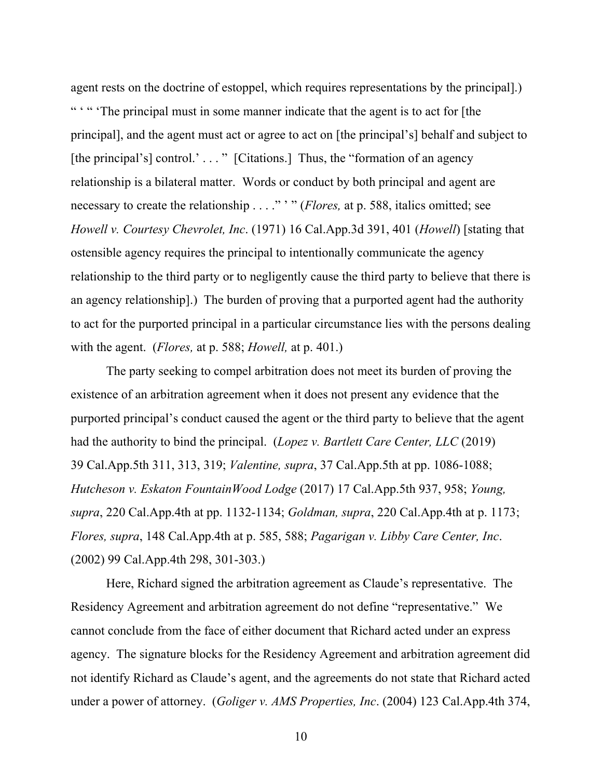agent rests on the doctrine of estoppel, which requires representations by the principal].) " " " The principal must in some manner indicate that the agent is to act for [the principal], and the agent must act or agree to act on [the principal's] behalf and subject to [the principal's] control.' . . . " [Citations.] Thus, the "formation of an agency relationship is a bilateral matter. Words or conduct by both principal and agent are necessary to create the relationship . . . ." ' " (*Flores,* at p. 588, italics omitted; see *Howell v. Courtesy Chevrolet, Inc*. (1971) 16 Cal.App.3d 391, 401 (*Howell*) [stating that ostensible agency requires the principal to intentionally communicate the agency relationship to the third party or to negligently cause the third party to believe that there is an agency relationship].) The burden of proving that a purported agent had the authority to act for the purported principal in a particular circumstance lies with the persons dealing with the agent. (*Flores,* at p. 588; *Howell,* at p. 401.)

The party seeking to compel arbitration does not meet its burden of proving the existence of an arbitration agreement when it does not present any evidence that the purported principal's conduct caused the agent or the third party to believe that the agent had the authority to bind the principal. (*Lopez v. Bartlett Care Center, LLC* (2019) 39 Cal.App.5th 311, 313, 319; *Valentine, supra*, 37 Cal.App.5th at pp. 1086-1088; *Hutcheson v. Eskaton FountainWood Lodge* (2017) 17 Cal.App.5th 937, 958; *Young, supra*, 220 Cal.App.4th at pp. 1132-1134; *Goldman, supra*, 220 Cal.App.4th at p. 1173; *Flores, supra*, 148 Cal.App.4th at p. 585, 588; *Pagarigan v. Libby Care Center, Inc*. (2002) 99 Cal.App.4th 298, 301-303.)

Here, Richard signed the arbitration agreement as Claude's representative. The Residency Agreement and arbitration agreement do not define "representative." We cannot conclude from the face of either document that Richard acted under an express agency. The signature blocks for the Residency Agreement and arbitration agreement did not identify Richard as Claude's agent, and the agreements do not state that Richard acted under a power of attorney. (*Goliger v. AMS Properties, Inc*. (2004) 123 Cal.App.4th 374,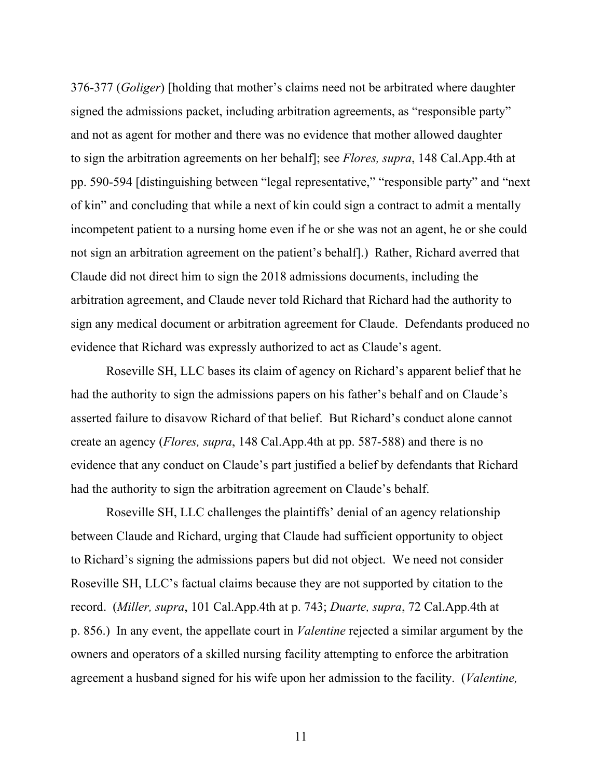376-377 (*Goliger*) [holding that mother's claims need not be arbitrated where daughter signed the admissions packet, including arbitration agreements, as "responsible party" and not as agent for mother and there was no evidence that mother allowed daughter to sign the arbitration agreements on her behalf]; see *Flores, supra*, 148 Cal.App.4th at pp. 590-594 [distinguishing between "legal representative," "responsible party" and "next of kin" and concluding that while a next of kin could sign a contract to admit a mentally incompetent patient to a nursing home even if he or she was not an agent, he or she could not sign an arbitration agreement on the patient's behalf].) Rather, Richard averred that Claude did not direct him to sign the 2018 admissions documents, including the arbitration agreement, and Claude never told Richard that Richard had the authority to sign any medical document or arbitration agreement for Claude. Defendants produced no evidence that Richard was expressly authorized to act as Claude's agent.

Roseville SH, LLC bases its claim of agency on Richard's apparent belief that he had the authority to sign the admissions papers on his father's behalf and on Claude's asserted failure to disavow Richard of that belief. But Richard's conduct alone cannot create an agency (*Flores, supra*, 148 Cal.App.4th at pp. 587-588) and there is no evidence that any conduct on Claude's part justified a belief by defendants that Richard had the authority to sign the arbitration agreement on Claude's behalf.

Roseville SH, LLC challenges the plaintiffs' denial of an agency relationship between Claude and Richard, urging that Claude had sufficient opportunity to object to Richard's signing the admissions papers but did not object. We need not consider Roseville SH, LLC's factual claims because they are not supported by citation to the record. (*Miller, supra*, 101 Cal.App.4th at p. 743; *Duarte, supra*, 72 Cal.App.4th at p. 856.) In any event, the appellate court in *Valentine* rejected a similar argument by the owners and operators of a skilled nursing facility attempting to enforce the arbitration agreement a husband signed for his wife upon her admission to the facility. (*Valentine,*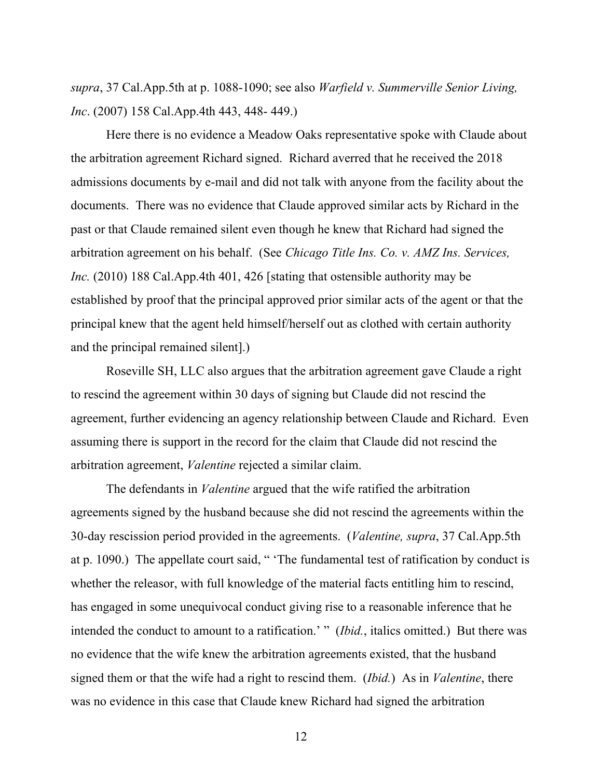*supra*, 37 Cal.App.5th at p. 1088-1090; see also *Warfield v. Summerville Senior Living, Inc*. (2007) 158 Cal.App.4th 443, 448- 449.)

Here there is no evidence a Meadow Oaks representative spoke with Claude about the arbitration agreement Richard signed. Richard averred that he received the 2018 admissions documents by e-mail and did not talk with anyone from the facility about the documents. There was no evidence that Claude approved similar acts by Richard in the past or that Claude remained silent even though he knew that Richard had signed the arbitration agreement on his behalf. (See *Chicago Title Ins. Co. v. AMZ Ins. Services, Inc.* (2010) 188 Cal.App.4th 401, 426 [stating that ostensible authority may be established by proof that the principal approved prior similar acts of the agent or that the principal knew that the agent held himself/herself out as clothed with certain authority and the principal remained silent].)

Roseville SH, LLC also argues that the arbitration agreement gave Claude a right to rescind the agreement within 30 days of signing but Claude did not rescind the agreement, further evidencing an agency relationship between Claude and Richard. Even assuming there is support in the record for the claim that Claude did not rescind the arbitration agreement, *Valentine* rejected a similar claim.

The defendants in *Valentine* argued that the wife ratified the arbitration agreements signed by the husband because she did not rescind the agreements within the 30-day rescission period provided in the agreements. (*Valentine, supra*, 37 Cal.App.5th at p. 1090.) The appellate court said, " 'The fundamental test of ratification by conduct is whether the releasor, with full knowledge of the material facts entitling him to rescind, has engaged in some unequivocal conduct giving rise to a reasonable inference that he intended the conduct to amount to a ratification.' " (*Ibid.*, italics omitted.) But there was no evidence that the wife knew the arbitration agreements existed, that the husband signed them or that the wife had a right to rescind them. (*Ibid.*) As in *Valentine*, there was no evidence in this case that Claude knew Richard had signed the arbitration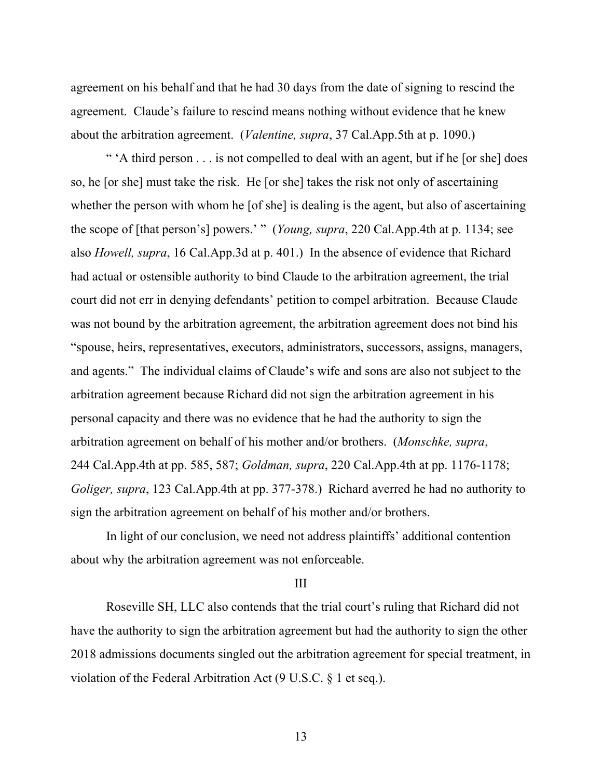agreement on his behalf and that he had 30 days from the date of signing to rescind the agreement. Claude's failure to rescind means nothing without evidence that he knew about the arbitration agreement. (*Valentine, supra*, 37 Cal.App.5th at p. 1090.)

" 'A third person . . . is not compelled to deal with an agent, but if he [or she] does so, he [or she] must take the risk. He [or she] takes the risk not only of ascertaining whether the person with whom he [of she] is dealing is the agent, but also of ascertaining the scope of [that person's] powers.' " (*Young, supra*, 220 Cal.App.4th at p. 1134; see also *Howell, supra*, 16 Cal.App.3d at p. 401.) In the absence of evidence that Richard had actual or ostensible authority to bind Claude to the arbitration agreement, the trial court did not err in denying defendants' petition to compel arbitration. Because Claude was not bound by the arbitration agreement, the arbitration agreement does not bind his "spouse, heirs, representatives, executors, administrators, successors, assigns, managers, and agents." The individual claims of Claude's wife and sons are also not subject to the arbitration agreement because Richard did not sign the arbitration agreement in his personal capacity and there was no evidence that he had the authority to sign the arbitration agreement on behalf of his mother and/or brothers. (*Monschke, supra*, 244 Cal.App.4th at pp. 585, 587; *Goldman, supra*, 220 Cal.App.4th at pp. 1176-1178; *Goliger, supra*, 123 Cal.App.4th at pp. 377-378.) Richard averred he had no authority to sign the arbitration agreement on behalf of his mother and/or brothers.

In light of our conclusion, we need not address plaintiffs' additional contention about why the arbitration agreement was not enforceable.

#### III

Roseville SH, LLC also contends that the trial court's ruling that Richard did not have the authority to sign the arbitration agreement but had the authority to sign the other 2018 admissions documents singled out the arbitration agreement for special treatment, in violation of the Federal Arbitration Act (9 U.S.C. § 1 et seq.).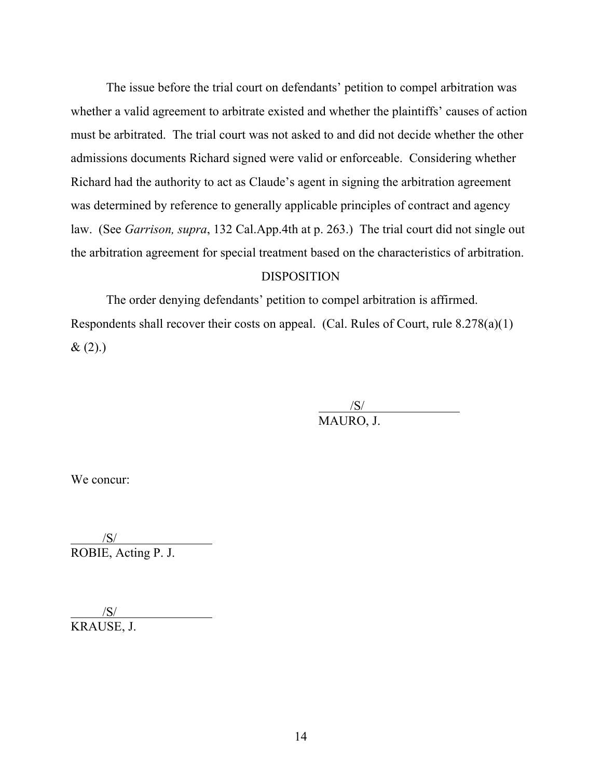The issue before the trial court on defendants' petition to compel arbitration was whether a valid agreement to arbitrate existed and whether the plaintiffs' causes of action must be arbitrated. The trial court was not asked to and did not decide whether the other admissions documents Richard signed were valid or enforceable. Considering whether Richard had the authority to act as Claude's agent in signing the arbitration agreement was determined by reference to generally applicable principles of contract and agency law. (See *Garrison, supra*, 132 Cal.App.4th at p. 263.) The trial court did not single out the arbitration agreement for special treatment based on the characteristics of arbitration.

## **DISPOSITION**

The order denying defendants' petition to compel arbitration is affirmed. Respondents shall recover their costs on appeal. (Cal. Rules of Court, rule 8.278(a)(1)  $& (2).)$ 

> $\frac{|S|}{|S|}$ MAURO, J.

We concur:

 $/$ S/ $/$ ROBIE, Acting P. J.

 /S/ KRAUSE, J.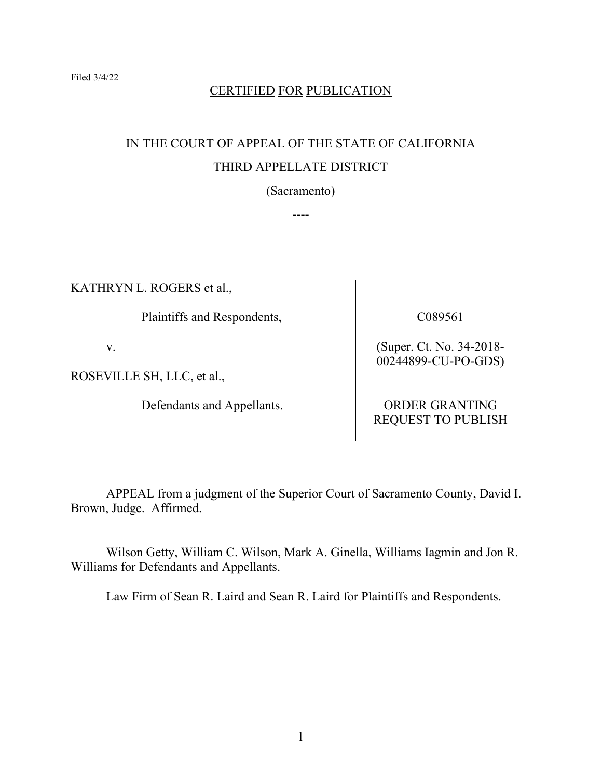## CERTIFIED FOR PUBLICATION

# IN THE COURT OF APPEAL OF THE STATE OF CALIFORNIA THIRD APPELLATE DISTRICT

(Sacramento)

----

KATHRYN L. ROGERS et al.,

Plaintiffs and Respondents,

v.

ROSEVILLE SH, LLC, et al.,

Defendants and Appellants.

C089561

(Super. Ct. No. 34-2018- 00244899-CU-PO-GDS)

ORDER GRANTING REQUEST TO PUBLISH

APPEAL from a judgment of the Superior Court of Sacramento County, David I. Brown, Judge. Affirmed.

Wilson Getty, William C. Wilson, Mark A. Ginella, Williams Iagmin and Jon R. Williams for Defendants and Appellants.

Law Firm of Sean R. Laird and Sean R. Laird for Plaintiffs and Respondents.